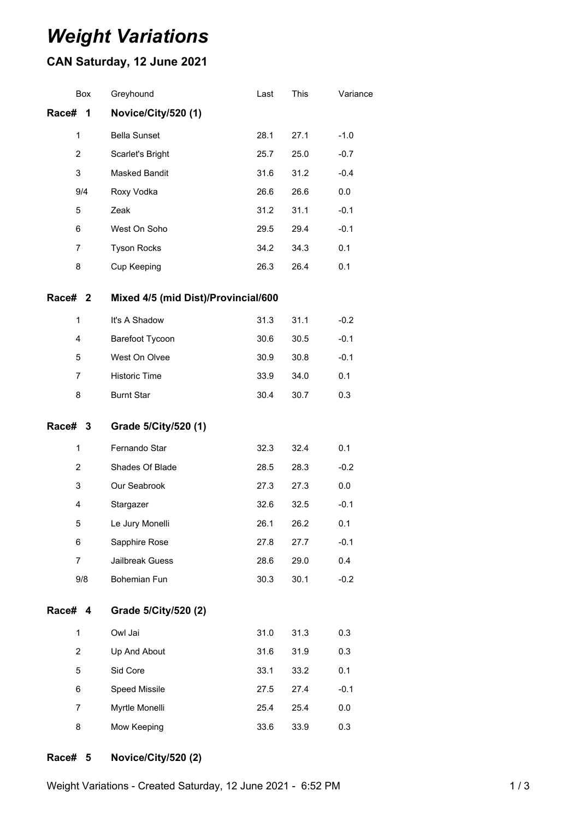# *Weight Variations*

## **CAN Saturday, 12 June 2021**

|         | <b>Box</b>     | Greyhound                           | Last | This | Variance |
|---------|----------------|-------------------------------------|------|------|----------|
| Race#   | 1              | Novice/City/520 (1)                 |      |      |          |
|         | 1              | <b>Bella Sunset</b>                 | 28.1 | 27.1 | $-1.0$   |
|         | $\overline{2}$ | Scarlet's Bright                    | 25.7 | 25.0 | $-0.7$   |
|         | 3              | Masked Bandit                       | 31.6 | 31.2 | $-0.4$   |
|         | 9/4            | Roxy Vodka                          | 26.6 | 26.6 | 0.0      |
|         | 5              | Zeak                                | 31.2 | 31.1 | $-0.1$   |
|         | 6              | West On Soho                        | 29.5 | 29.4 | $-0.1$   |
|         | $\overline{7}$ | <b>Tyson Rocks</b>                  | 34.2 | 34.3 | 0.1      |
|         | 8              | Cup Keeping                         | 26.3 | 26.4 | 0.1      |
| Race# 2 |                | Mixed 4/5 (mid Dist)/Provincial/600 |      |      |          |
|         | $\mathbf{1}$   | It's A Shadow                       | 31.3 | 31.1 | $-0.2$   |
|         | 4              | Barefoot Tycoon                     | 30.6 | 30.5 | $-0.1$   |
|         | 5              | West On Olvee                       | 30.9 | 30.8 | $-0.1$   |
|         | 7              | <b>Historic Time</b>                | 33.9 | 34.0 | 0.1      |
|         | 8              | <b>Burnt Star</b>                   | 30.4 | 30.7 | 0.3      |
| Race# 3 |                | Grade 5/City/520 (1)                |      |      |          |
|         |                | Fernando Star                       | 32.3 | 32.4 | 0.1      |
|         | $\mathbf{1}$   |                                     |      |      | $-0.2$   |
|         | 2              | Shades Of Blade                     | 28.5 | 28.3 |          |
|         | 3              | Our Seabrook                        | 27.3 | 27.3 | 0.0      |
|         | $\overline{4}$ | Stargazer                           | 32.6 | 32.5 | $-0.1$   |
|         | 5              | Le Jury Monelli                     | 26.1 | 26.2 | 0.1      |
|         | 6              | Sapphire Rose                       | 27.8 | 27.7 | $-0.1$   |
|         | 7              | Jailbreak Guess                     | 28.6 | 29.0 | 0.4      |
|         | 9/8            | Bohemian Fun                        | 30.3 | 30.1 | $-0.2$   |
| Race# 4 |                | Grade 5/City/520 (2)                |      |      |          |
|         | 1              | Owl Jai                             | 31.0 | 31.3 | 0.3      |
|         | $\overline{2}$ | Up And About                        | 31.6 | 31.9 | 0.3      |
|         | 5              | Sid Core                            | 33.1 | 33.2 | 0.1      |
|         | 6              | Speed Missile                       | 27.5 | 27.4 | $-0.1$   |
|         | $\overline{7}$ | Myrtle Monelli                      | 25.4 | 25.4 | 0.0      |
|         | 8              | Mow Keeping                         | 33.6 | 33.9 | 0.3      |

#### **Race# 5 Novice/City/520 (2)**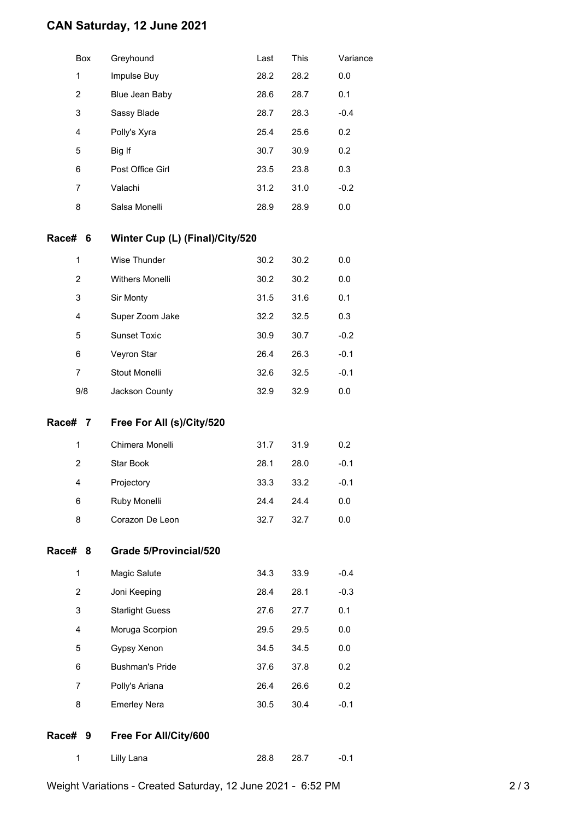### **CAN Saturday, 12 June 2021**

|         | Box            | Greyhound                       | Last | This | Variance |
|---------|----------------|---------------------------------|------|------|----------|
|         | 1              | Impulse Buy                     | 28.2 | 28.2 | 0.0      |
|         | $\overline{2}$ | Blue Jean Baby                  | 28.6 | 28.7 | 0.1      |
|         | 3              | Sassy Blade                     | 28.7 | 28.3 | $-0.4$   |
|         | $\overline{4}$ | Polly's Xyra                    | 25.4 | 25.6 | 0.2      |
|         | 5              | Big If                          | 30.7 | 30.9 | 0.2      |
|         | 6              | Post Office Girl                | 23.5 | 23.8 | 0.3      |
|         | 7              | Valachi                         | 31.2 | 31.0 | $-0.2$   |
|         | 8              | Salsa Monelli                   | 28.9 | 28.9 | 0.0      |
| Race#   | 6              | Winter Cup (L) (Final)/City/520 |      |      |          |
|         | 1              | Wise Thunder                    | 30.2 | 30.2 | 0.0      |
|         | $\overline{2}$ | <b>Withers Monelli</b>          | 30.2 | 30.2 | 0.0      |
|         | 3              | Sir Monty                       | 31.5 | 31.6 | 0.1      |
|         | 4              | Super Zoom Jake                 | 32.2 | 32.5 | 0.3      |
|         | 5              | <b>Sunset Toxic</b>             | 30.9 | 30.7 | $-0.2$   |
|         | 6              | Veyron Star                     | 26.4 | 26.3 | $-0.1$   |
|         | 7              | Stout Monelli                   | 32.6 | 32.5 | $-0.1$   |
|         | 9/8            | Jackson County                  | 32.9 | 32.9 | 0.0      |
| Race# 7 |                | Free For All (s)/City/520       |      |      |          |
|         | 1              | Chimera Monelli                 | 31.7 | 31.9 | 0.2      |
|         | 2              | Star Book                       | 28.1 | 28.0 | $-0.1$   |
|         | 4              | Projectory                      | 33.3 | 33.2 | $-0.1$   |
|         | 6              | Ruby Monelli                    | 24.4 | 24.4 | 0.0      |
|         | 8              | Corazon De Leon                 | 32.7 | 32.7 | 0.0      |
| Race# 8 |                | <b>Grade 5/Provincial/520</b>   |      |      |          |
|         | 1              | Magic Salute                    | 34.3 | 33.9 | $-0.4$   |
|         | $\overline{2}$ | Joni Keeping                    | 28.4 | 28.1 | $-0.3$   |
|         | 3              | <b>Starlight Guess</b>          | 27.6 | 27.7 | 0.1      |
|         | 4              | Moruga Scorpion                 | 29.5 | 29.5 | 0.0      |
|         | 5              | Gypsy Xenon                     | 34.5 | 34.5 | 0.0      |
|         | 6              | <b>Bushman's Pride</b>          | 37.6 | 37.8 | 0.2      |
|         | 7              | Polly's Ariana                  | 26.4 | 26.6 | 0.2      |
|         | 8              | <b>Emerley Nera</b>             | 30.5 | 30.4 | $-0.1$   |

### **Race# 9 Free For All/City/600**

| Lilly Lana | 28.8 | 28.7 | $-0.1$ |
|------------|------|------|--------|

Weight Variations - Created Saturday, 12 June 2021 - 6:52 PM 2/3